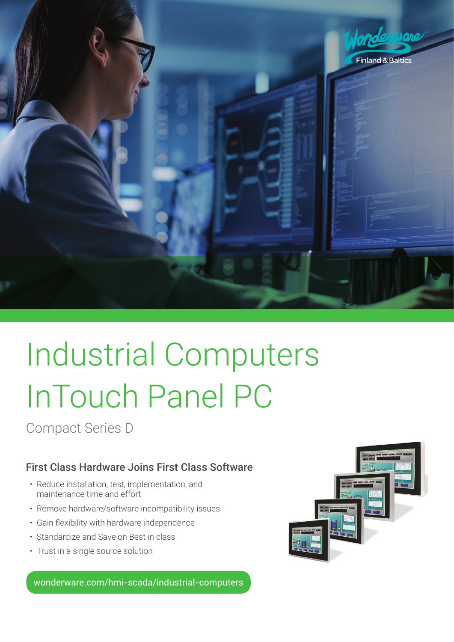

# Industrial Computers InTouch Panel PC

Compact Series D

### First Class Hardware Joins First Class Software

- Reduce installation, test, implementation, and maintenance time and effort
- Remove hardware/software incompatibility issues
- • Gain flexibility with hardware independence
- Standardize and Save on Best in class
- Trust in a single source solution

wonderware.com/hmi-scada/industrial-computers

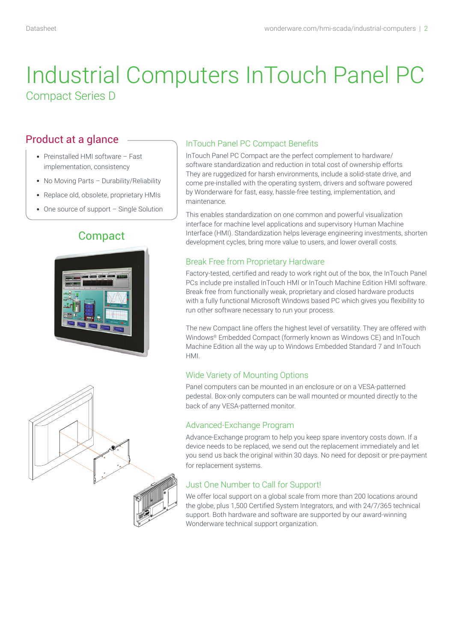# Industrial Computers InTouch Panel PC Compact Series D

### Product at a glance

- Preinstalled HMI software Fast implementation, consistency
- No Moving Parts Durability/Reliability
- Replace old, obsolete, proprietary HMIs
- One source of support Single Solution

## **Compact**





#### InTouch Panel PC Compact Benefits

InTouch Panel PC Compact are the perfect complement to hardware/ software standardization and reduction in total cost of ownership efforts They are ruggedized for harsh environments, include a solid-state drive, and come pre-installed with the operating system, drivers and software powered by Wonderware for fast, easy, hassle-free testing, implementation, and maintenance.

This enables standardization on one common and powerful visualization interface for machine level applications and supervisory Human Machine Interface (HMI). Standardization helps leverage engineering investments, shorten development cycles, bring more value to users, and lower overall costs.

#### Break Free from Proprietary Hardware

Factory-tested, certified and ready to work right out of the box, the InTouch Panel PCs include pre installed InTouch HMI or InTouch Machine Edition HMI software. Break free from functionally weak, proprietary and closed hardware products with a fully functional Microsoft Windows based PC which gives you flexibility to run other software necessary to run your process.

The new Compact line offers the highest level of versatility. They are offered with Windows® Embedded Compact (formerly known as Windows CE) and InTouch Machine Edition all the way up to Windows Embedded Standard 7 and InTouch HMI.

#### Wide Variety of Mounting Options

Panel computers can be mounted in an enclosure or on a VESA-patterned pedestal. Box-only computers can be wall mounted or mounted directly to the back of any VESA-patterned monitor.

#### Advanced-Exchange Program

Advance-Exchange program to help you keep spare inventory costs down. If a device needs to be replaced, we send out the replacement immediately and let you send us back the original within 30 days. No need for deposit or pre-payment for replacement systems.

#### Just One Number to Call for Support!

We offer local support on a global scale from more than 200 locations around the globe, plus 1,500 Certified System Integrators, and with 24/7/365 technical support. Both hardware and software are supported by our award-winning Wonderware technical support organization.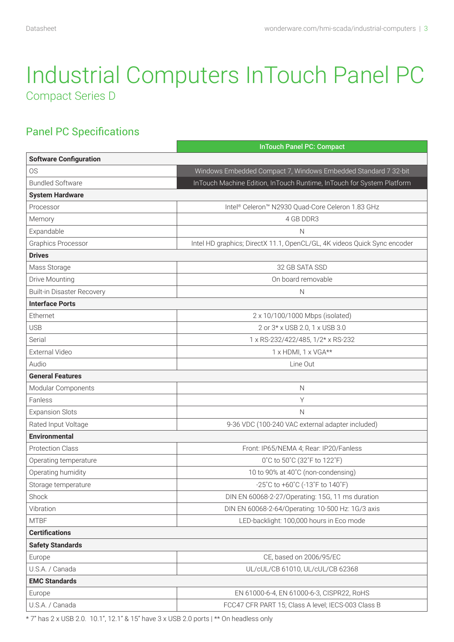# Industrial Computers InTouch Panel PC Compact Series D

# Panel PC Specifications

|                                   | <b>InTouch Panel PC: Compact</b>                                         |  |  |  |  |  |
|-----------------------------------|--------------------------------------------------------------------------|--|--|--|--|--|
| <b>Software Configuration</b>     |                                                                          |  |  |  |  |  |
| <b>OS</b>                         | Windows Embedded Compact 7, Windows Embedded Standard 7 32-bit           |  |  |  |  |  |
| <b>Bundled Software</b>           | InTouch Machine Edition, InTouch Runtime, InTouch for System Platform    |  |  |  |  |  |
| <b>System Hardware</b>            |                                                                          |  |  |  |  |  |
| Processor                         | Intel® Celeron™ N2930 Quad-Core Celeron 1.83 GHz                         |  |  |  |  |  |
| Memory                            | 4 GB DDR3                                                                |  |  |  |  |  |
| Expandable                        | N                                                                        |  |  |  |  |  |
| Graphics Processor                | Intel HD graphics; DirectX 11.1, OpenCL/GL, 4K videos Quick Sync encoder |  |  |  |  |  |
| <b>Drives</b>                     |                                                                          |  |  |  |  |  |
| Mass Storage                      | 32 GB SATA SSD                                                           |  |  |  |  |  |
| Drive Mounting                    | On board removable                                                       |  |  |  |  |  |
| <b>Built-in Disaster Recovery</b> | $\mathbb N$                                                              |  |  |  |  |  |
| <b>Interface Ports</b>            |                                                                          |  |  |  |  |  |
| Ethernet                          | 2 x 10/100/1000 Mbps (isolated)                                          |  |  |  |  |  |
| <b>USB</b>                        | 2 or 3* x USB 2.0, 1 x USB 3.0                                           |  |  |  |  |  |
| Serial                            | 1 x RS-232/422/485, 1/2* x RS-232                                        |  |  |  |  |  |
| External Video                    | 1 x HDMI, 1 x VGA**                                                      |  |  |  |  |  |
| Audio                             | Line Out                                                                 |  |  |  |  |  |
| <b>General Features</b>           |                                                                          |  |  |  |  |  |
| Modular Components                | $\mathbb N$                                                              |  |  |  |  |  |
| Fanless                           | Υ                                                                        |  |  |  |  |  |
| <b>Expansion Slots</b>            | N                                                                        |  |  |  |  |  |
| Rated Input Voltage               | 9-36 VDC (100-240 VAC external adapter included)                         |  |  |  |  |  |
| <b>Environmental</b>              |                                                                          |  |  |  |  |  |
| <b>Protection Class</b>           | Front: IP65/NEMA 4; Rear: IP20/Fanless                                   |  |  |  |  |  |
| Operating temperature             | 0°C to 50°C (32°F to 122°F)                                              |  |  |  |  |  |
| Operating humidity                | 10 to 90% at 40°C (non-condensing)                                       |  |  |  |  |  |
| Storage temperature               | -25°C to +60°C (-13°F to 140°F)                                          |  |  |  |  |  |
| Shock                             | DIN EN 60068-2-27/Operating: 15G, 11 ms duration                         |  |  |  |  |  |
| Vibration                         | DIN EN 60068-2-64/Operating: 10-500 Hz: 1G/3 axis                        |  |  |  |  |  |
| <b>MTBF</b>                       | LED-backlight: 100,000 hours in Eco mode                                 |  |  |  |  |  |
| <b>Certifications</b>             |                                                                          |  |  |  |  |  |
| <b>Safety Standards</b>           |                                                                          |  |  |  |  |  |
| Europe                            | CE, based on 2006/95/EC                                                  |  |  |  |  |  |
| U.S.A. / Canada                   | UL/cUL/CB 61010, UL/cUL/CB 62368                                         |  |  |  |  |  |
| <b>EMC Standards</b>              |                                                                          |  |  |  |  |  |
| Europe                            | EN 61000-6-4, EN 61000-6-3, CISPR22, RoHS                                |  |  |  |  |  |
| U.S.A. / Canada                   | FCC47 CFR PART 15; Class A level; IECS-003 Class B                       |  |  |  |  |  |

\* 7" has 2 x USB 2.0. 10.1", 12.1" & 15" have 3 x USB 2.0 ports | \*\* On headless only